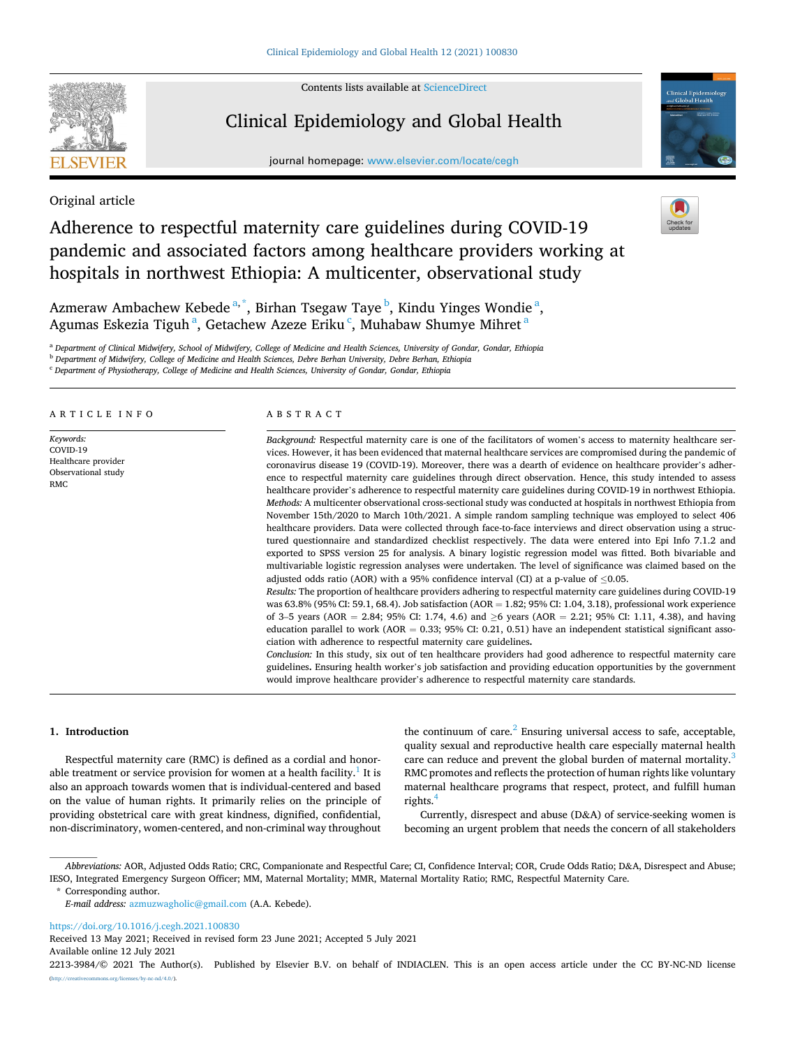Contents lists available at [ScienceDirect](www.sciencedirect.com/science/journal/22133984)



# Clinical Epidemiology and Global Health

journal homepage: [www.elsevier.com/locate/cegh](https://www.elsevier.com/locate/cegh)



Original article

# Adherence to respectful maternity care guidelines during COVID-19 pandemic and associated factors among healthcare providers working at hospitals in northwest Ethiopia: A multicenter, observational study



Azmeraw Ambachew Kebede<sup>a,\*</sup>, Birhan Tsegaw Taye <sup>b</sup>, Kindu Yinges Wondie<sup>a</sup>, Agumas Eskezia Tiguh<sup>a</sup>, Getachew Azeze Erikuʿ, Muhabaw Shumye Mihret<sup>a</sup>

<sup>a</sup> *Department of Clinical Midwifery, School of Midwifery, College of Medicine and Health Sciences, University of Gondar, Gondar, Ethiopia* 

<sup>b</sup> *Department of Midwifery, College of Medicine and Health Sciences, Debre Berhan University, Debre Berhan, Ethiopia* 

<sup>c</sup> *Department of Physiotherapy, College of Medicine and Health Sciences, University of Gondar, Gondar, Ethiopia* 

## ARTICLE INFO

*Keywords:*  COVID-19 Healthcare provider Observational study RMC

#### ABSTRACT

*Background:* Respectful maternity care is one of the facilitators of women's access to maternity healthcare services. However, it has been evidenced that maternal healthcare services are compromised during the pandemic of coronavirus disease 19 (COVID-19). Moreover, there was a dearth of evidence on healthcare provider's adherence to respectful maternity care guidelines through direct observation. Hence, this study intended to assess healthcare provider's adherence to respectful maternity care guidelines during COVID-19 in northwest Ethiopia. *Methods:* A multicenter observational cross-sectional study was conducted at hospitals in northwest Ethiopia from November 15th/2020 to March 10th/2021. A simple random sampling technique was employed to select 406 healthcare providers. Data were collected through face-to-face interviews and direct observation using a structured questionnaire and standardized checklist respectively. The data were entered into Epi Info 7.1.2 and exported to SPSS version 25 for analysis. A binary logistic regression model was fitted. Both bivariable and multivariable logistic regression analyses were undertaken. The level of significance was claimed based on the adjusted odds ratio (AOR) with a 95% confidence interval (CI) at a p-value of ≤0.05.

*Results:* The proportion of healthcare providers adhering to respectful maternity care guidelines during COVID-19 was 63.8% (95% CI: 59.1, 68.4). Job satisfaction (AOR = 1.82; 95% CI: 1.04, 3.18), professional work experience of 3–5 years (AOR = 2.84; 95% CI: 1.74, 4.6) and ≥6 years (AOR = 2.21; 95% CI: 1.11, 4.38), and having education parallel to work (AOR =  $0.33$ ; 95% CI:  $0.21$ ,  $0.51$ ) have an independent statistical significant association with adherence to respectful maternity care guidelines**.** 

*Conclusion:* In this study, six out of ten healthcare providers had good adherence to respectful maternity care guidelines**.** Ensuring health worker's job satisfaction and providing education opportunities by the government would improve healthcare provider's adherence to respectful maternity care standards.

#### **1. Introduction**

Respectful maternity care (RMC) is defined as a cordial and honorable treatment or service provision for women at a health facility.<sup>1</sup> It is also an approach towards women that is individual-centered and based on the value of human rights. It primarily relies on the principle of providing obstetrical care with great kindness, dignified, confidential, non-discriminatory, women-centered, and non-criminal way throughout the continuum of care. $<sup>2</sup>$  Ensuring universal access to safe, acceptable,</sup> quality sexual and reproductive health care especially maternal health care can reduce and prevent the global burden of maternal mortality.<sup>3</sup> RMC promotes and reflects the protection of human rights like voluntary maternal healthcare programs that respect, protect, and fulfill human rights.

Currently, disrespect and abuse (D&A) of service-seeking women is becoming an urgent problem that needs the concern of all stakeholders

*Abbreviations:* AOR, Adjusted Odds Ratio; CRC, Companionate and Respectful Care; CI, Confidence Interval; COR, Crude Odds Ratio; D&A, Disrespect and Abuse; IESO, Integrated Emergency Surgeon Officer; MM, Maternal Mortality; MMR, Maternal Mortality Ratio; RMC, Respectful Maternity Care.

\* Corresponding author.

*E-mail address:* [azmuzwagholic@gmail.com](mailto:azmuzwagholic@gmail.com) (A.A. Kebede).

<https://doi.org/10.1016/j.cegh.2021.100830>

Available online 12 July 2021 Received 13 May 2021; Received in revised form 23 June 2021; Accepted 5 July 2021

2213-3984/© 2021 The Author(s). Published by Elsevier B.V. on behalf of INDIACLEN. This is an open access article under the CC BY-NC-ND license [\(http://creativecommons.org/licenses/by-nc-nd/4.0/\)](http://creativecommons.org/licenses/by-nc-nd/4.0/).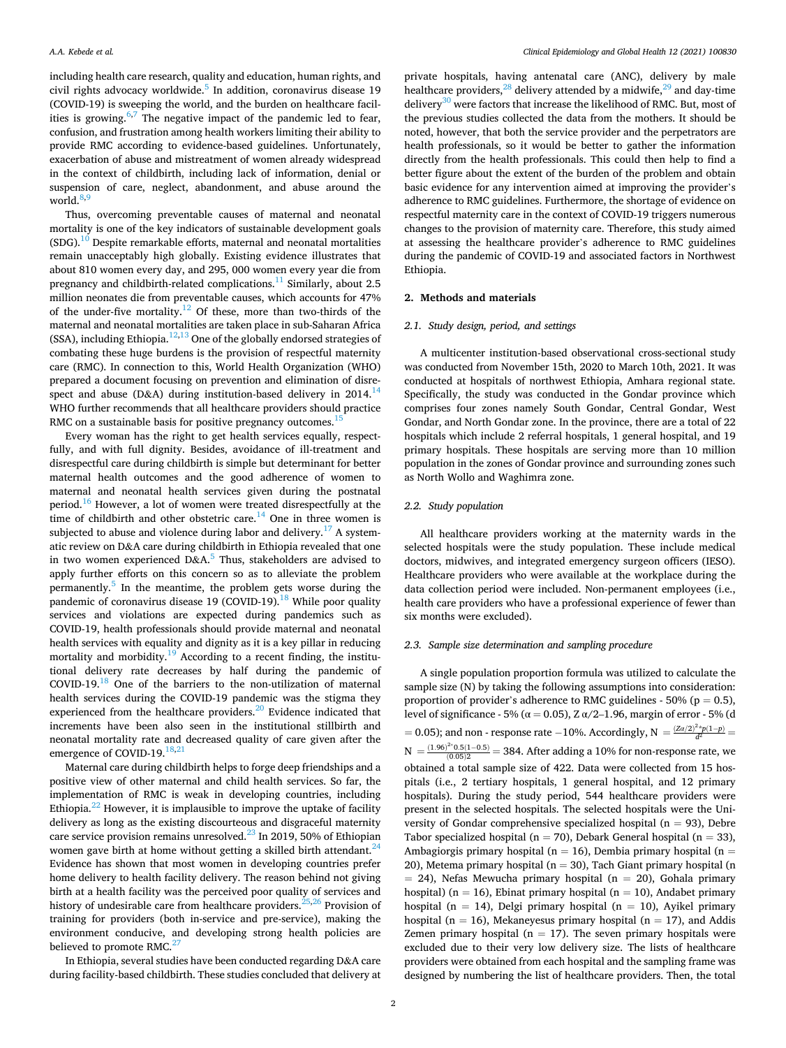including health care research, quality and education, human rights, and civil rights advocacy worldwide. $5$  In addition, coronavirus disease 19 (COVID-19) is sweeping the world, and the burden on healthcare facilities is growing. $6,7$  The negative impact of the pandemic led to fear, confusion, and frustration among health workers limiting their ability to provide RMC according to evidence-based guidelines. Unfortunately, exacerbation of abuse and mistreatment of women already widespread in the context of childbirth, including lack of information, denial or suspension of care, neglect, abandonment, and abuse around the world. $8,9$ 

Thus, overcoming preventable causes of maternal and neonatal mortality is one of the key indicators of sustainable development goals  $(SDG).<sup>10</sup>$  Despite remarkable efforts, maternal and neonatal mortalities remain unacceptably high globally. Existing evidence illustrates that about 810 women every day, and 295, 000 women every year die from pregnancy and childbirth-related complications.<sup>11</sup> Similarly, about 2.5 million neonates die from preventable causes, which accounts for 47% of the under-five mortality.<sup>12</sup> Of these, more than two-thirds of the maternal and neonatal mortalities are taken place in sub-Saharan Africa (SSA), including Ethiopia.<sup>12,13</sup> One of the globally endorsed strategies of combating these huge burdens is the provision of respectful maternity care (RMC). In connection to this, World Health Organization (WHO) prepared a document focusing on prevention and elimination of disrespect and abuse (D&A) during institution-based delivery in  $2014$ .<sup>14</sup> WHO further recommends that all healthcare providers should practice RMC on a sustainable basis for positive pregnancy outcomes.<sup>1</sup>

Every woman has the right to get health services equally, respectfully, and with full dignity. Besides, avoidance of ill-treatment and disrespectful care during childbirth is simple but determinant for better maternal health outcomes and the good adherence of women to maternal and neonatal health services given during the postnatal period.<sup>16</sup> However, a lot of women were treated disrespectfully at the time of childbirth and other obstetric care. $14$  One in three women is subjected to abuse and violence during labor and delivery.<sup>17</sup> A systematic review on D&A care during childbirth in Ethiopia revealed that one in two women experienced  $D&A$ <sup>5</sup> Thus, stakeholders are advised to apply further efforts on this concern so as to alleviate the problem permanently.[5 In the meantime, the problem gets worse during the](#page-5-0)  pandemic of coronavirus disease 19 (COVID-19).<sup>18</sup> While poor quality services and violations are expected during pandemics such as COVID-19, health professionals should provide maternal and neonatal health services with equality and dignity as it is a key pillar in reducing mortality and morbidity. $19$  According to a recent finding, the institutional delivery rate decreases by half during the pandemic of COVID-19.<sup>18</sup> One of the barriers to the non-utilization of maternal health services during the COVID-19 pandemic was the stigma they experienced from the healthcare providers.<sup>20</sup> Evidence indicated that increments have been also seen in the institutional stillbirth and neonatal mortality rate and decreased quality of care given after the emergence of COVID-19.<sup>[18,](#page-5-0)[21](#page-6-0)</sup>

Maternal care during childbirth helps to forge deep friendships and a positive view of other maternal and child health services. So far, the implementation of RMC is weak in developing countries, including Ethiopia. $^{22}$  However, it is implausible to improve the uptake of facility delivery as long as the existing discourteous and disgraceful maternity care service provision remains unresolved. $^{23}$  In 2019, 50% of Ethiopian women gave birth at home without getting a skilled birth attendant.<sup>24</sup> Evidence has shown that most women in developing countries prefer home delivery to health facility delivery. The reason behind not giving birth at a health facility was the perceived poor quality of services and history of undesirable care from healthcare providers. $25,26$  Provision of training for providers (both in-service and pre-service), making the environment conducive, and developing strong health policies are believed to promote RMC.<sup>[27](#page-6-0)</sup>

In Ethiopia, several studies have been conducted regarding D&A care during facility-based childbirth. These studies concluded that delivery at

private hospitals, having antenatal care (ANC), delivery by male healthcare providers,  $^{28}$  delivery attended by a midwife,  $^{29}$  and day-time delivery<sup>30</sup> were factors that increase the likelihood of RMC. But, most of the previous studies collected the data from the mothers. It should be noted, however, that both the service provider and the perpetrators are health professionals, so it would be better to gather the information directly from the health professionals. This could then help to find a better figure about the extent of the burden of the problem and obtain basic evidence for any intervention aimed at improving the provider's adherence to RMC guidelines. Furthermore, the shortage of evidence on respectful maternity care in the context of COVID-19 triggers numerous changes to the provision of maternity care. Therefore, this study aimed at assessing the healthcare provider's adherence to RMC guidelines during the pandemic of COVID-19 and associated factors in Northwest Ethiopia.

### **2. Methods and materials**

## *2.1. Study design, period, and settings*

A multicenter institution-based observational cross-sectional study was conducted from November 15th, 2020 to March 10th, 2021. It was conducted at hospitals of northwest Ethiopia, Amhara regional state. Specifically, the study was conducted in the Gondar province which comprises four zones namely South Gondar, Central Gondar, West Gondar, and North Gondar zone. In the province, there are a total of 22 hospitals which include 2 referral hospitals, 1 general hospital, and 19 primary hospitals. These hospitals are serving more than 10 million population in the zones of Gondar province and surrounding zones such as North Wollo and Waghimra zone.

## *2.2. Study population*

All healthcare providers working at the maternity wards in the selected hospitals were the study population. These include medical doctors, midwives, and integrated emergency surgeon officers (IESO). Healthcare providers who were available at the workplace during the data collection period were included. Non-permanent employees (i.e., health care providers who have a professional experience of fewer than six months were excluded).

## *2.3. Sample size determination and sampling procedure*

A single population proportion formula was utilized to calculate the sample size (N) by taking the following assumptions into consideration: proportion of provider's adherence to RMC guidelines - 50% ( $p = 0.5$ ), level of significance - 5% (α = 0.05), Z α/2-1.96, margin of error - 5% (d  $= 0.05$ ); and non - response rate −10%. Accordingly, N  $= \frac{(Z\alpha/2)^2 * p(1-p)}{d^2}$ N =  $\frac{(1.96)^{2*}0.5(1-0.5)}{(0.05)2}$  = 384. After adding a 10% for non-response rate, we obtained a total sample size of 422. Data were collected from 15 hospitals (i.e., 2 tertiary hospitals, 1 general hospital, and 12 primary hospitals). During the study period, 544 healthcare providers were present in the selected hospitals. The selected hospitals were the University of Gondar comprehensive specialized hospital ( $n = 93$ ), Debre Tabor specialized hospital ( $n = 70$ ), Debark General hospital ( $n = 33$ ), Ambagiorgis primary hospital ( $n = 16$ ), Dembia primary hospital ( $n =$ 20), Metema primary hospital ( $n = 30$ ), Tach Giant primary hospital (n  $= 24$ ), Nefas Mewucha primary hospital (n  $= 20$ ), Gohala primary hospital) ( $n = 16$ ), Ebinat primary hospital ( $n = 10$ ), Andabet primary hospital (n = 14), Delgi primary hospital (n = 10), Ayikel primary hospital ( $n = 16$ ), Mekaneyesus primary hospital ( $n = 17$ ), and Addis Zemen primary hospital ( $n = 17$ ). The seven primary hospitals were excluded due to their very low delivery size. The lists of healthcare providers were obtained from each hospital and the sampling frame was designed by numbering the list of healthcare providers. Then, the total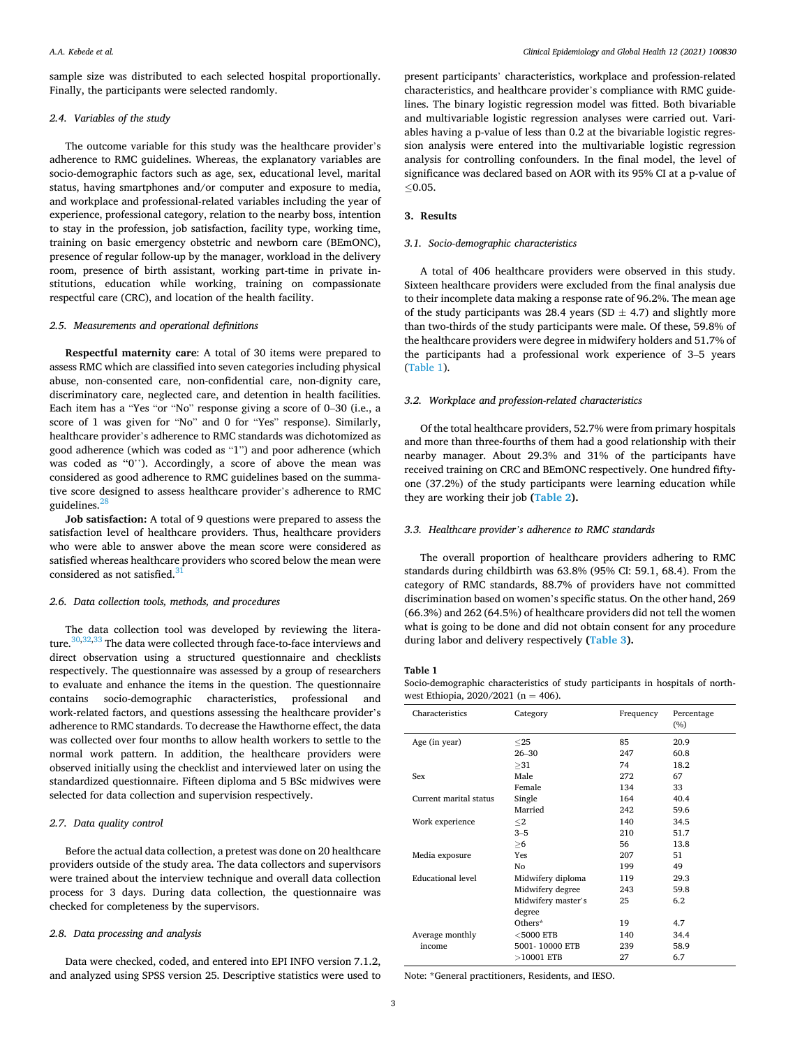sample size was distributed to each selected hospital proportionally. Finally, the participants were selected randomly.

## *2.4. Variables of the study*

The outcome variable for this study was the healthcare provider's adherence to RMC guidelines. Whereas, the explanatory variables are socio-demographic factors such as age, sex, educational level, marital status, having smartphones and/or computer and exposure to media, and workplace and professional-related variables including the year of experience, professional category, relation to the nearby boss, intention to stay in the profession, job satisfaction, facility type, working time, training on basic emergency obstetric and newborn care (BEmONC), presence of regular follow-up by the manager, workload in the delivery room, presence of birth assistant, working part-time in private institutions, education while working, training on compassionate respectful care (CRC), and location of the health facility.

## *2.5. Measurements and operational definitions*

**Respectful maternity care**: A total of 30 items were prepared to assess RMC which are classified into seven categories including physical abuse, non-consented care, non-confidential care, non-dignity care, discriminatory care, neglected care, and detention in health facilities. Each item has a "Yes "or "No" response giving a score of 0–30 (i.e., a score of 1 was given for "No" and 0 for "Yes" response). Similarly, healthcare provider's adherence to RMC standards was dichotomized as good adherence (which was coded as "1") and poor adherence (which was coded as "0"). Accordingly, a score of above the mean was considered as good adherence to RMC guidelines based on the summative score designed to assess healthcare provider's adherence to RMC guidelines.<sup>2</sup>

**Job satisfaction:** A total of 9 questions were prepared to assess the satisfaction level of healthcare providers. Thus, healthcare providers who were able to answer above the mean score were considered as satisfied whereas healthcare providers who scored below the mean were considered as not satisfied.<sup>3</sup>

## *2.6. Data collection tools, methods, and procedures*

The data collection tool was developed by reviewing the literature.<sup>30,32,33</sup> The data were collected through face-to-face interviews and direct observation using a structured questionnaire and checklists respectively. The questionnaire was assessed by a group of researchers to evaluate and enhance the items in the question. The questionnaire contains socio-demographic characteristics, professional and work-related factors, and questions assessing the healthcare provider's adherence to RMC standards. To decrease the Hawthorne effect, the data was collected over four months to allow health workers to settle to the normal work pattern. In addition, the healthcare providers were observed initially using the checklist and interviewed later on using the standardized questionnaire. Fifteen diploma and 5 BSc midwives were selected for data collection and supervision respectively.

# *2.7. Data quality control*

Before the actual data collection, a pretest was done on 20 healthcare providers outside of the study area. The data collectors and supervisors were trained about the interview technique and overall data collection process for 3 days. During data collection, the questionnaire was checked for completeness by the supervisors.

## *2.8. Data processing and analysis*

Data were checked, coded, and entered into EPI INFO version 7.1.2, and analyzed using SPSS version 25. Descriptive statistics were used to present participants' characteristics, workplace and profession-related characteristics, and healthcare provider's compliance with RMC guidelines. The binary logistic regression model was fitted. Both bivariable and multivariable logistic regression analyses were carried out. Variables having a p-value of less than 0.2 at the bivariable logistic regression analysis were entered into the multivariable logistic regression analysis for controlling confounders. In the final model, the level of significance was declared based on AOR with its 95% CI at a p-value of  $< 0.05.$ 

## **3. Results**

## *3.1. Socio-demographic characteristics*

A total of 406 healthcare providers were observed in this study. Sixteen healthcare providers were excluded from the final analysis due to their incomplete data making a response rate of 96.2%. The mean age of the study participants was 28.4 years (SD  $\pm$  4.7) and slightly more than two-thirds of the study participants were male. Of these, 59.8% of the healthcare providers were degree in midwifery holders and 51.7% of the participants had a professional work experience of 3–5 years (Table 1).

## *3.2. Workplace and profession-related characteristics*

Of the total healthcare providers, 52.7% were from primary hospitals and more than three-fourths of them had a good relationship with their nearby manager. About 29.3% and 31% of the participants have received training on CRC and BEmONC respectively. One hundred fiftyone (37.2%) of the study participants were learning education while they are working their job **[\(Table 2](#page-3-0)).** 

#### *3.3. Healthcare provider's adherence to RMC standards*

The overall proportion of healthcare providers adhering to RMC standards during childbirth was 63.8% (95% CI: 59.1, 68.4). From the category of RMC standards, 88.7% of providers have not committed discrimination based on women's specific status. On the other hand, 269 (66.3%) and 262 (64.5%) of healthcare providers did not tell the women what is going to be done and did not obtain consent for any procedure during labor and delivery respectively **[\(Table 3](#page-3-0)).** 

## **Table 1**

Socio-demographic characteristics of study participants in hospitals of northwest Ethiopia,  $2020/2021$  (n = 406).

| Characteristics        | Category           | Frequency | Percentage<br>$(\%)$ |
|------------------------|--------------------|-----------|----------------------|
| Age (in year)          | $<$ 25             | 85        | 20.9                 |
|                        | $26 - 30$          | 247       | 60.8                 |
|                        | >31                | 74        | 18.2                 |
| Sex                    | Male               | 272       | 67                   |
|                        | Female             | 134       | 33                   |
| Current marital status | Single             | 164       | 40.4                 |
|                        | Married            | 242       | 59.6                 |
| Work experience        | $\leq$             | 140       | 34.5                 |
|                        | $3 - 5$            | 210       | 51.7                 |
|                        | >6                 | 56        | 13.8                 |
| Media exposure         | Yes                | 207       | 51                   |
|                        | No                 | 199       | 49                   |
| Educational level      | Midwifery diploma  | 119       | 29.3                 |
|                        | Midwifery degree   | 243       | 59.8                 |
|                        | Midwifery master's | 25        | 6.2                  |
|                        | degree             |           |                      |
|                        | Others*            | 19        | 4.7                  |
| Average monthly        | $<$ 5000 $E$ TB    | 140       | 34.4                 |
| income                 | 5001-10000 ETB     | 239       | 58.9                 |
|                        | $>10001$ ETB       | 27        | 6.7                  |

Note: \*General practitioners, Residents, and IESO.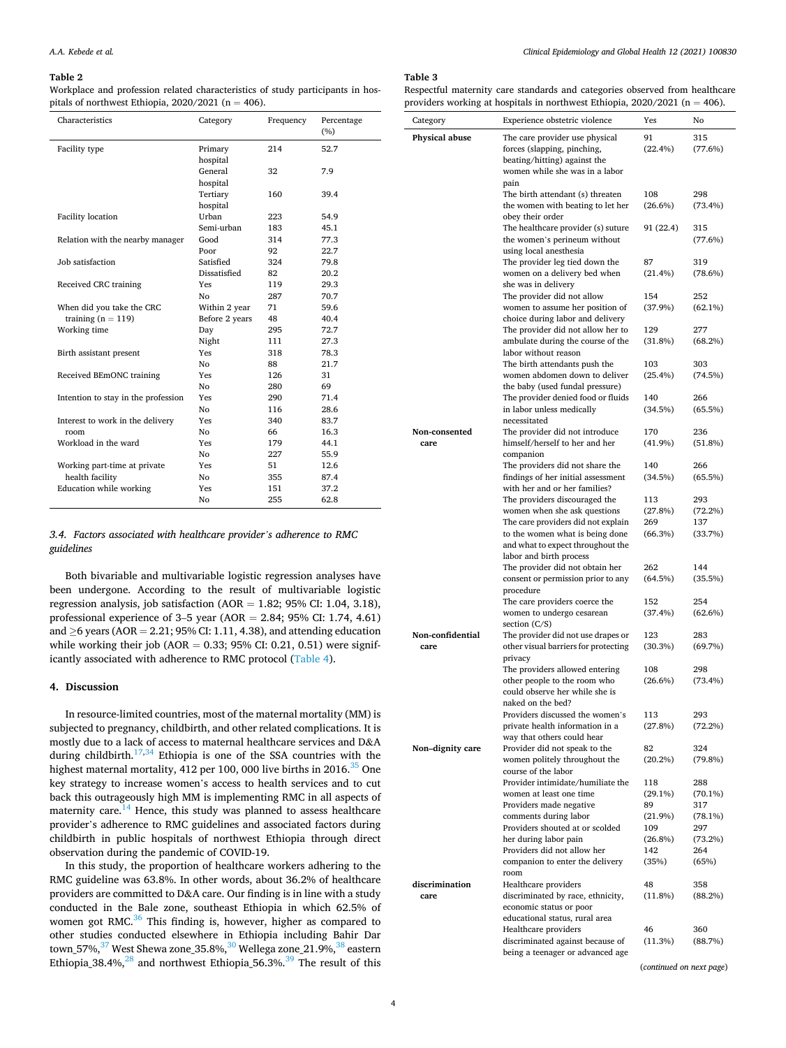#### <span id="page-3-0"></span>**Table 2**

Workplace and profession related characteristics of study participants in hospitals of northwest Ethiopia,  $2020/2021$  (n = 406).

| Characteristics                     | Category       | Frequency | Percentage<br>(%) |
|-------------------------------------|----------------|-----------|-------------------|
| Facility type                       | Primary        | 214       | 52.7              |
|                                     | hospital       |           |                   |
|                                     | General        | 32        | 7.9               |
|                                     | hospital       |           |                   |
|                                     | Tertiary       | 160       | 39.4              |
|                                     | hospital       |           |                   |
| <b>Facility location</b>            | Urban          | 223       | 54.9              |
|                                     | Semi-urban     | 183       | 45.1              |
| Relation with the nearby manager    | Good           | 314       | 77.3              |
|                                     | Poor           | 92        | 22.7              |
| Job satisfaction                    | Satisfied      | 324       | 79.8              |
|                                     | Dissatisfied   | 82        | 20.2              |
| Received CRC training               | Yes            | 119       | 29.3              |
|                                     | Nο             | 287       | 70.7              |
| When did you take the CRC           | Within 2 year  | 71        | 59.6              |
| training $(n = 119)$                | Before 2 years | 48        | 40.4              |
| Working time                        | Day            | 295       | 72.7              |
|                                     | Night          | 111       | 27.3              |
| Birth assistant present             | Yes            | 318       | 78.3              |
|                                     | Nο             | 88        | 21.7              |
| Received BEmONC training            | Yes            | 126       | 31                |
|                                     | Nο             | 280       | 69                |
| Intention to stay in the profession | Yes            | 290       | 71.4              |
|                                     | Nο             | 116       | 28.6              |
| Interest to work in the delivery    | Yes            | 340       | 83.7              |
| room                                | No             | 66        | 16.3              |
| Workload in the ward                | Yes            | 179       | 44.1              |
|                                     | Nο             | 227       | 55.9              |
| Working part-time at private        | Yes            | 51        | 12.6              |
| health facility                     | Nο             | 355       | 87.4              |
| Education while working             | Yes            | 151       | 37.2              |
|                                     | Nο             | 255       | 62.8              |

# *3.4. Factors associated with healthcare provider's adherence to RMC guidelines*

Both bivariable and multivariable logistic regression analyses have been undergone. According to the result of multivariable logistic regression analysis, job satisfaction ( $AOR = 1.82$ ; 95% CI: 1.04, 3.18), professional experience of 3–5 year (AOR = 2.84; 95% CI: 1.74, 4.61) and  $\geq$ 6 years (AOR = 2.21; 95% CI: 1.11, 4.38), and attending education while working their job (AOR =  $0.33$ ; 95% CI: 0.21, 0.51) were significantly associated with adherence to RMC protocol [\(Table 4\)](#page-4-0).

#### **4. Discussion**

In resource-limited countries, most of the maternal mortality (MM) is subjected to pregnancy, childbirth, and other related complications. It is mostly due to a lack of access to maternal healthcare services and D&A during childbirth.<sup>[17,](#page-5-0)34</sup> Ethiopia is one of the SSA countries with the highest maternal mortality, 412 per 100, 000 live births in  $2016^{35}$  One key strategy to increase women's access to health services and to cut back this outrageously high MM is implementing RMC in all aspects of maternity care.<sup>14</sup> Hence, this study was planned to assess healthcare provider's adherence to RMC guidelines and associated factors during childbirth in public hospitals of northwest Ethiopia through direct observation during the pandemic of COVID-19.

In this study, the proportion of healthcare workers adhering to the RMC guideline was 63.8%. In other words, about 36.2% of healthcare providers are committed to D&A care. Our finding is in line with a study conducted in the Bale zone, southeast Ethiopia in which 62.5% of women got RMC.<sup>36</sup> This finding is, however, higher as compared to other studies conducted elsewhere in Ethiopia including Bahir Dar town\_57%,<sup>37</sup> West Shewa zone\_35.8%,<sup>30</sup> Wellega zone\_21.9%,<sup>38</sup> eastern Ethiopia\_38.4%, $^{28}$  and northwest Ethiopia\_56.3%.<sup>39</sup> The result of this

## **Table 3**

Respectful maternity care standards and categories observed from healthcare providers working at hospitals in northwest Ethiopia,  $2020/2021$  (n = 406).

|                  | providers working at nospitals in northwest Eunopia, 2020/2021 (n -<br>Experience obstetric violence | Yes               | ּ דעטד.<br>No     |
|------------------|------------------------------------------------------------------------------------------------------|-------------------|-------------------|
| Category         |                                                                                                      |                   |                   |
| Physical abuse   | The care provider use physical<br>forces (slapping, pinching,                                        | 91<br>(22.4%)     | 315<br>(77.6%)    |
|                  | beating/hitting) against the                                                                         |                   |                   |
|                  | women while she was in a labor                                                                       |                   |                   |
|                  | pain                                                                                                 |                   |                   |
|                  | The birth attendant (s) threaten                                                                     | 108               | 298               |
|                  | the women with beating to let her<br>obey their order                                                | $(26.6\%)$        | $(73.4\%)$        |
|                  | The healthcare provider (s) suture                                                                   | 91 (22.4)         | 315               |
|                  | the women's perineum without                                                                         |                   | (77.6%)           |
|                  | using local anesthesia                                                                               |                   |                   |
|                  | The provider leg tied down the                                                                       | 87                | 319               |
|                  | women on a delivery bed when<br>she was in delivery                                                  | (21.4%)           | $(78.6\%)$        |
|                  | The provider did not allow                                                                           | 154               | 252               |
|                  | women to assume her position of                                                                      | (37.9%)           | $(62.1\%)$        |
|                  | choice during labor and delivery                                                                     |                   |                   |
|                  | The provider did not allow her to                                                                    | 129               | 277               |
|                  | ambulate during the course of the<br>labor without reason                                            | (31.8%)           | (68.2%)           |
|                  | The birth attendants push the                                                                        | 103               | 303               |
|                  | women abdomen down to deliver                                                                        | (25.4%)           | (74.5%)           |
|                  | the baby (used fundal pressure)                                                                      |                   |                   |
|                  | The provider denied food or fluids                                                                   | 140               | 266               |
|                  | in labor unless medically<br>necessitated                                                            | (34.5%)           | $(65.5\%)$        |
| Non-consented    | The provider did not introduce                                                                       | 170               | 236               |
| care             | himself/herself to her and her                                                                       | $(41.9\%)$        | (51.8%)           |
|                  | companion                                                                                            |                   |                   |
|                  | The providers did not share the<br>findings of her initial assessment                                | 140<br>(34.5%)    | 266<br>(65.5%)    |
|                  | with her and or her families?                                                                        |                   |                   |
|                  | The providers discouraged the                                                                        | 113               | 293               |
|                  | women when she ask questions                                                                         | (27.8%)           | $(72.2\%)$        |
|                  | The care providers did not explain                                                                   | 269               | 137               |
|                  | to the women what is being done<br>and what to expect throughout the                                 | (66.3%)           | (33.7%)           |
|                  | labor and birth process                                                                              |                   |                   |
|                  | The provider did not obtain her                                                                      | 262               | 144               |
|                  | consent or permission prior to any                                                                   | (64.5%)           | (35.5%)           |
|                  | procedure                                                                                            | 152               | 254               |
|                  | The care providers coerce the<br>women to undergo cesarean                                           | (37.4%)           | (62.6%)           |
|                  | section $(C/S)$                                                                                      |                   |                   |
| Non-confidential | The provider did not use drapes or                                                                   | 123               | 283               |
| care             | other visual barriers for protecting                                                                 | $(30.3\%)$        | (69.7%)           |
|                  | privacy<br>The providers allowed entering                                                            | 108               | 298               |
|                  | other people to the room who                                                                         | $(26.6\%)$        | $(73.4\%)$        |
|                  | could observe her while she is                                                                       |                   |                   |
|                  | naked on the bed?                                                                                    |                   |                   |
|                  | Providers discussed the women's                                                                      | 113               | 293               |
|                  | private health information in a<br>way that others could hear                                        | (27.8%)           | $(72.2\%)$        |
| Non-dignity care | Provider did not speak to the                                                                        | 82                | 324               |
|                  | women politely throughout the                                                                        | $(20.2\%)$        | $(79.8\%)$        |
|                  | course of the labor                                                                                  |                   |                   |
|                  | Provider intimidate/humiliate the<br>women at least one time                                         | 118<br>$(29.1\%)$ | 288<br>$(70.1\%)$ |
|                  | Providers made negative                                                                              | 89                | 317               |
|                  | comments during labor                                                                                | $(21.9\%)$        | $(78.1\%)$        |
|                  | Providers shouted at or scolded                                                                      | 109               | 297               |
|                  | her during labor pain                                                                                | $(26.8\%)$        | $(73.2\%)$        |
|                  | Providers did not allow her<br>companion to enter the delivery                                       | 142<br>(35%)      | 264<br>(65%)      |
|                  | room                                                                                                 |                   |                   |
| discrimination   | Healthcare providers                                                                                 | 48                | 358               |
| care             | discriminated by race, ethnicity,                                                                    | (11.8%)           | (88.2%)           |
|                  | economic status or poor<br>educational status, rural area                                            |                   |                   |
|                  | Healthcare providers                                                                                 | 46                | 360               |
|                  | discriminated against because of                                                                     | (11.3%)           | (88.7%)           |
|                  | being a teenager or advanced age                                                                     |                   |                   |

(*continued on next page*)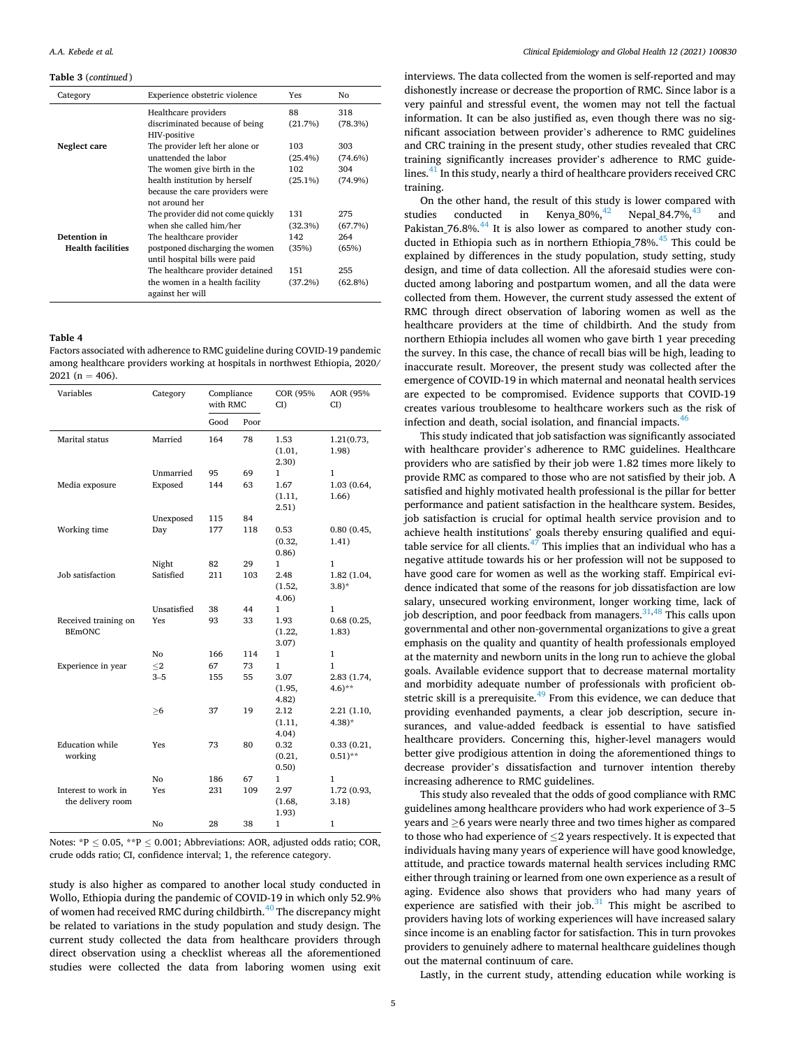#### <span id="page-4-0"></span>**Table 3** (*continued* )

| Category                                 | Experience obstetric violence                                                                | Yes                      | No                       |
|------------------------------------------|----------------------------------------------------------------------------------------------|--------------------------|--------------------------|
|                                          | Healthcare providers<br>discriminated because of being<br>HIV-positive                       | 88<br>(21.7%)            | 318<br>(78.3%)           |
| Neglect care                             | The provider left her alone or<br>unattended the labor<br>The women give birth in the        | 103<br>$(25.4\%)$<br>102 | 303<br>$(74.6\%)$<br>304 |
|                                          | health institution by herself<br>because the care providers were<br>not around her           | $(25.1\%)$               | $(74.9\%)$               |
|                                          | The provider did not come quickly<br>when she called him/her                                 | 131<br>(32.3%)           | 275<br>(67.7%)           |
| Detention in<br><b>Health facilities</b> | The healthcare provider<br>postponed discharging the women<br>until hospital bills were paid | 142<br>(35%)             | 264<br>(65%)             |
|                                          | The healthcare provider detained<br>the women in a health facility<br>against her will       | 151<br>(37.2%)           | 255<br>$(62.8\%)$        |

#### **Table 4**

Factors associated with adherence to RMC guideline during COVID-19 pandemic among healthcare providers working at hospitals in northwest Ethiopia, 2020/  $2021$  (n = 406).

| Variables                                | Category    | Compliance<br>with RMC |      | <b>COR (95%</b><br>$CI$ ) | AOR (95%<br>CD                     |
|------------------------------------------|-------------|------------------------|------|---------------------------|------------------------------------|
|                                          |             | Good                   | Poor |                           |                                    |
| Marital status                           | Married     | 164                    | 78   | 1.53<br>(1.01,<br>(2.30)  | 1.21(0.73,<br>1.98)                |
|                                          | Unmarried   | 95                     | 69   | $\mathbf{1}$              | 1                                  |
| Media exposure                           | Exposed     | 144                    | 63   | 1.67<br>(1.11,<br>2.51)   | 1.03 (0.64,<br>1.66)               |
|                                          | Unexposed   | 115                    | 84   |                           |                                    |
| Working time                             | Day         | 177                    | 118  | 0.53<br>(0.32,<br>0.86)   | 0.80(0.45,<br>1.41)                |
|                                          | Night       | 82                     | 29   | $\mathbf{1}$              | 1                                  |
| Job satisfaction                         | Satisfied   | 211                    | 103  | 2.48<br>(1.52,<br>4.06)   | 1.82 (1.04,<br>$(3.8)^*$           |
|                                          | Unsatisfied | 38                     | 44   | 1                         | 1                                  |
| Received training on<br><b>BEmONC</b>    | Yes         | 93                     | 33   | 1.93<br>(1.22,<br>3.07)   | 0.68(0.25,<br>1.83)                |
|                                          | No          | 166                    | 114  | $\mathbf{1}$              | 1                                  |
| Experience in year                       | $<$ 2       | 67                     | 73   | $\mathbf{1}$              | 1                                  |
|                                          | $3 - 5$     | 155                    | 55   | 3.07<br>(1.95,<br>4.82)   | 2.83 (1.74,<br>$(4.6)$ **          |
|                                          | ≥6          | 37                     | 19   | 2.12<br>(1.11,<br>4.04)   | 2.21 (1.10,<br>$4.38$ <sup>*</sup> |
| <b>Education</b> while<br>working        | Yes         | 73                     | 80   | 0.32<br>(0.21,<br>0.50)   | 0.33(0.21,<br>$0.51$ <sup>**</sup> |
|                                          | No          | 186                    | 67   | 1                         | 1                                  |
| Interest to work in<br>the delivery room | Yes         | 231                    | 109  | 2.97<br>(1.68,<br>1.93)   | 1.72 (0.93,<br>3.18)               |
|                                          | No          | 28                     | 38   | $\mathbf{1}$              | 1                                  |

Notes:  $*P \le 0.05$ ,  $*P \le 0.001$ ; Abbreviations: AOR, adjusted odds ratio; COR, crude odds ratio; CI, confidence interval; 1, the reference category.

study is also higher as compared to another local study conducted in Wollo, Ethiopia during the pandemic of COVID-19 in which only 52.9% of women had received RMC during childbirth.<sup>40</sup> The discrepancy might be related to variations in the study population and study design. The current study collected the data from healthcare providers through direct observation using a checklist whereas all the aforementioned studies were collected the data from laboring women using exit

interviews. The data collected from the women is self-reported and may dishonestly increase or decrease the proportion of RMC. Since labor is a very painful and stressful event, the women may not tell the factual information. It can be also justified as, even though there was no significant association between provider's adherence to RMC guidelines and CRC training in the present study, other studies revealed that CRC training significantly increases provider's adherence to RMC guidelines.<sup>41</sup> In this study, nearly a third of healthcare providers received CRC training.

On the other hand, the result of this study is lower compared with<br>dies conducted in Kenya\_80%,  $^{42}$  Nepal\_84.7%,<br> $^{43}$  and studies conducted in Kenya\_80%, <sup>42</sup> Nepal\_84.7%, <sup>43</sup> and Pakistan<sub>-76.8%</sub>.<sup>44</sup> It is also lower as compared to another study conducted in Ethiopia such as in northern Ethiopia\_78%.[45 This could be](#page-6-0)  explained by differences in the study population, study setting, study design, and time of data collection. All the aforesaid studies were conducted among laboring and postpartum women, and all the data were collected from them. However, the current study assessed the extent of RMC through direct observation of laboring women as well as the healthcare providers at the time of childbirth. And the study from northern Ethiopia includes all women who gave birth 1 year preceding the survey. In this case, the chance of recall bias will be high, leading to inaccurate result. Moreover, the present study was collected after the emergence of COVID-19 in which maternal and neonatal health services are expected to be compromised. Evidence supports that COVID-19 creates various troublesome to healthcare workers such as the risk of infection and death, social isolation, and financial impacts.  $46$ 

This study indicated that job satisfaction was significantly associated with healthcare provider's adherence to RMC guidelines. Healthcare providers who are satisfied by their job were 1.82 times more likely to provide RMC as compared to those who are not satisfied by their job. A satisfied and highly motivated health professional is the pillar for better performance and patient satisfaction in the healthcare system. Besides, job satisfaction is crucial for optimal health service provision and to achieve health institutions' goals thereby ensuring qualified and equitable service for all clients. $47$  This implies that an individual who has a negative attitude towards his or her profession will not be supposed to have good care for women as well as the working staff. Empirical evidence indicated that some of the reasons for job dissatisfaction are low salary, unsecured working environment, longer working time, lack of job description, and poor feedback from managers.  $31,48$  This calls upon governmental and other non-governmental organizations to give a great emphasis on the quality and quantity of health professionals employed at the maternity and newborn units in the long run to achieve the global goals. Available evidence support that to decrease maternal mortality and morbidity adequate number of professionals with proficient obstetric skill is a prerequisite. $^{49}$  From this evidence, we can deduce that providing evenhanded payments, a clear job description, secure insurances, and value-added feedback is essential to have satisfied healthcare providers. Concerning this, higher-level managers would better give prodigious attention in doing the aforementioned things to decrease provider's dissatisfaction and turnover intention thereby increasing adherence to RMC guidelines.

This study also revealed that the odds of good compliance with RMC guidelines among healthcare providers who had work experience of 3–5 years and ≥6 years were nearly three and two times higher as compared to those who had experience of  $\leq$ 2 years respectively. It is expected that individuals having many years of experience will have good knowledge, attitude, and practice towards maternal health services including RMC either through training or learned from one own experience as a result of aging. Evidence also shows that providers who had many years of experience are satisfied with their job. $31$  This might be ascribed to providers having lots of working experiences will have increased salary since income is an enabling factor for satisfaction. This in turn provokes providers to genuinely adhere to maternal healthcare guidelines though out the maternal continuum of care.

Lastly, in the current study, attending education while working is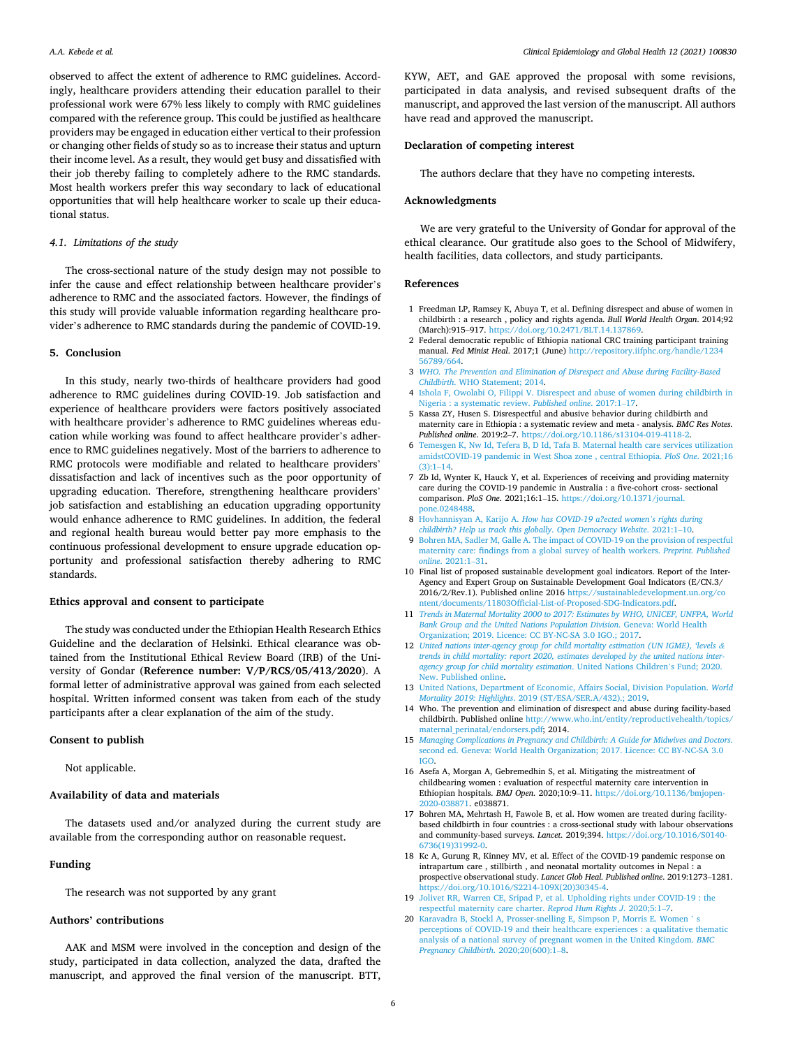<span id="page-5-0"></span>observed to affect the extent of adherence to RMC guidelines. Accordingly, healthcare providers attending their education parallel to their professional work were 67% less likely to comply with RMC guidelines compared with the reference group. This could be justified as healthcare providers may be engaged in education either vertical to their profession or changing other fields of study so as to increase their status and upturn their income level. As a result, they would get busy and dissatisfied with their job thereby failing to completely adhere to the RMC standards. Most health workers prefer this way secondary to lack of educational opportunities that will help healthcare worker to scale up their educational status.

## *4.1. Limitations of the study*

The cross-sectional nature of the study design may not possible to infer the cause and effect relationship between healthcare provider's adherence to RMC and the associated factors. However, the findings of this study will provide valuable information regarding healthcare provider's adherence to RMC standards during the pandemic of COVID-19.

### **5. Conclusion**

In this study, nearly two-thirds of healthcare providers had good adherence to RMC guidelines during COVID-19. Job satisfaction and experience of healthcare providers were factors positively associated with healthcare provider's adherence to RMC guidelines whereas education while working was found to affect healthcare provider's adherence to RMC guidelines negatively. Most of the barriers to adherence to RMC protocols were modifiable and related to healthcare providers' dissatisfaction and lack of incentives such as the poor opportunity of upgrading education. Therefore, strengthening healthcare providers' job satisfaction and establishing an education upgrading opportunity would enhance adherence to RMC guidelines. In addition, the federal and regional health bureau would better pay more emphasis to the continuous professional development to ensure upgrade education opportunity and professional satisfaction thereby adhering to RMC standards.

## **Ethics approval and consent to participate**

The study was conducted under the Ethiopian Health Research Ethics Guideline and the declaration of Helsinki. Ethical clearance was obtained from the Institutional Ethical Review Board (IRB) of the University of Gondar (**Reference number: V/P/RCS/05/413/2020**). A formal letter of administrative approval was gained from each selected hospital. Written informed consent was taken from each of the study participants after a clear explanation of the aim of the study.

## **Consent to publish**

Not applicable.

## **Availability of data and materials**

The datasets used and/or analyzed during the current study are available from the corresponding author on reasonable request.

#### **Funding**

The research was not supported by any grant

# **Authors' contributions**

AAK and MSM were involved in the conception and design of the study, participated in data collection, analyzed the data, drafted the manuscript, and approved the final version of the manuscript. BTT,

KYW, AET, and GAE approved the proposal with some revisions, participated in data analysis, and revised subsequent drafts of the manuscript, and approved the last version of the manuscript. All authors have read and approved the manuscript.

## **Declaration of competing interest**

The authors declare that they have no competing interests.

#### **Acknowledgments**

We are very grateful to the University of Gondar for approval of the ethical clearance. Our gratitude also goes to the School of Midwifery, health facilities, data collectors, and study participants.

#### **References**

- 1 Freedman LP, Ramsey K, Abuya T, et al. Defining disrespect and abuse of women in childbirth : a research , policy and rights agenda. *Bull World Health Organ*. 2014;92 (March):915–917. [https://doi.org/10.2471/BLT.14.137869.](https://doi.org/10.2471/BLT.14.137869)
- 2 Federal democratic republic of Ethiopia national CRC training participant training manual. *Fed Minist Heal*. 2017;1 (June) [http://repository.iifphc.org/handle/1234](http://repository.iifphc.org/handle/123456789/664) [56789/664](http://repository.iifphc.org/handle/123456789/664).
- 3 *[WHO. The Prevention and Elimination of Disrespect and Abuse during Facility-Based](http://refhub.elsevier.com/S2213-3984(21)00138-X/sref3) Childbirth*[. WHO Statement; 2014](http://refhub.elsevier.com/S2213-3984(21)00138-X/sref3).
- 4 [Ishola F, Owolabi O, Filippi V. Disrespect and abuse of women during childbirth in](http://refhub.elsevier.com/S2213-3984(21)00138-X/sref4) [Nigeria : a systematic review.](http://refhub.elsevier.com/S2213-3984(21)00138-X/sref4) *Published online*. 2017:1–17.
- 5 Kassa ZY, Husen S. Disrespectful and abusive behavior during childbirth and maternity care in Ethiopia : a systematic review and meta - analysis. *BMC Res Notes. Published online*. 2019:2–7. [https://doi.org/10.1186/s13104-019-4118-2.](https://doi.org/10.1186/s13104-019-4118-2)
- 6 [Temesgen K, Nw Id, Tefera B, D Id, Tafa B. Maternal health care services utilization](http://refhub.elsevier.com/S2213-3984(21)00138-X/sref6)  [amidstCOVID-19 pandemic in West Shoa zone , central Ethiopia.](http://refhub.elsevier.com/S2213-3984(21)00138-X/sref6) *PloS One*. 2021;16  $(3) \cdot 1 - 14$
- 7 Zb Id, Wynter K, Hauck Y, et al. Experiences of receiving and providing maternity care during the COVID-19 pandemic in Australia : a five-cohort cross- sectional comparison. *PloS One*. 2021;16:1–15. [https://doi.org/10.1371/journal.](https://doi.org/10.1371/journal.pone.0248488) [pone.0248488](https://doi.org/10.1371/journal.pone.0248488).
- 8 Hovhannisyan A, Karijo A. *[How has COVID-19 a?ected women](http://refhub.elsevier.com/S2213-3984(21)00138-X/sref8)'s rights during [childbirth? Help us track this globally](http://refhub.elsevier.com/S2213-3984(21)00138-X/sref8)*. *Open Democracy Website*. 2021:1–10.
- 9 [Bohren MA, Sadler M, Galle A. The impact of COVID-19 on the provision of respectful](http://refhub.elsevier.com/S2213-3984(21)00138-X/sref9)  [maternity care: findings from a global survey of health workers.](http://refhub.elsevier.com/S2213-3984(21)00138-X/sref9) *Preprint. Published online*[. 2021:1](http://refhub.elsevier.com/S2213-3984(21)00138-X/sref9)–31.
- 10 Final list of proposed sustainable development goal indicators. Report of the Inter-Agency and Expert Group on Sustainable Development Goal Indicators (E/CN.3/ 2016/2/Rev.1). Published online 2016 [https://sustainabledevelopment.un.org/co](https://sustainabledevelopment.un.org/content/documents/11803Official-List-of-Proposed-SDG-Indicators.pdf)  [ntent/documents/11803Official-List-of-Proposed-SDG-Indicators.pdf](https://sustainabledevelopment.un.org/content/documents/11803Official-List-of-Proposed-SDG-Indicators.pdf).
- 11 *[Trends in Maternal Mortality 2000 to 2017: Estimates by WHO, UNICEF, UNFPA, World](http://refhub.elsevier.com/S2213-3984(21)00138-X/sref11)  [Bank Group and the United Nations Population Division](http://refhub.elsevier.com/S2213-3984(21)00138-X/sref11)*. Geneva: World Health [Organization; 2019. Licence: CC BY-NC-SA 3.0 IGO.; 2017](http://refhub.elsevier.com/S2213-3984(21)00138-X/sref11).
- 12 *[United nations inter-agency group for child mortality estimation \(UN IGME\), 'levels](http://refhub.elsevier.com/S2213-3984(21)00138-X/sref12) & [trends in child mortality: report 2020, estimates developed by the united nations inter](http://refhub.elsevier.com/S2213-3984(21)00138-X/sref12)[agency group for child mortality estimation](http://refhub.elsevier.com/S2213-3984(21)00138-X/sref12)*. United Nations Children's Fund; 2020. [New. Published online.](http://refhub.elsevier.com/S2213-3984(21)00138-X/sref12)
- 13 [United Nations, Department of Economic, Affairs Social, Division Population.](http://refhub.elsevier.com/S2213-3984(21)00138-X/sref13) *World Mortality 2019: Highlights*[. 2019 \(ST/ESA/SER.A/432\).; 2019](http://refhub.elsevier.com/S2213-3984(21)00138-X/sref13).
- 14 Who. The prevention and elimination of disrespect and abuse during facility-based childbirth. Published online [http://www.who.int/entity/reproductivehealth/topics/](http://www.who.int/entity/reproductivehealth/topics/maternal_perinatal/endorsers.pdf)  [maternal\\_perinatal/endorsers.pdf;](http://www.who.int/entity/reproductivehealth/topics/maternal_perinatal/endorsers.pdf) 2014.
- 15 *[Managing Complications in Pregnancy and Childbirth: A Guide for Midwives and Doctors](http://refhub.elsevier.com/S2213-3984(21)00138-X/sref15)*. [second ed. Geneva: World Health Organization; 2017. Licence: CC BY-NC-SA 3.0](http://refhub.elsevier.com/S2213-3984(21)00138-X/sref15) [IGO.](http://refhub.elsevier.com/S2213-3984(21)00138-X/sref15)
- 16 Asefa A, Morgan A, Gebremedhin S, et al. Mitigating the mistreatment of childbearing women : evaluation of respectful maternity care intervention in Ethiopian hospitals. *BMJ Open*. 2020;10:9–11. [https://doi.org/10.1136/bmjopen-](https://doi.org/10.1136/bmjopen-2020-038871)[2020-038871.](https://doi.org/10.1136/bmjopen-2020-038871) e038871.
- 17 Bohren MA, Mehrtash H, Fawole B, et al. How women are treated during facilitybased childbirth in four countries : a cross-sectional study with labour observations and community-based surveys. *Lancet*. 2019;394. [https://doi.org/10.1016/S0140-](https://doi.org/10.1016/S0140-6736(19)31992-0) [6736\(19\)31992-0.](https://doi.org/10.1016/S0140-6736(19)31992-0)
- 18 Kc A, Gurung R, Kinney MV, et al. Effect of the COVID-19 pandemic response on intrapartum care , stillbirth , and neonatal mortality outcomes in Nepal : a prospective observational study. *Lancet Glob Heal. Published online*. 2019:1273–1281. [https://doi.org/10.1016/S2214-109X\(20\)30345-4.](https://doi.org/10.1016/S2214-109X(20)30345-4)
- 19 [Jolivet RR, Warren CE, Sripad P, et al. Upholding rights under COVID-19 : the](http://refhub.elsevier.com/S2213-3984(21)00138-X/sref19) [respectful maternity care charter.](http://refhub.elsevier.com/S2213-3984(21)00138-X/sref19) *Reprod Hum Rights J*. 2020;5:1–7.
- 20 [Karavadra B, Stockl A, Prosser-snelling E, Simpson P, Morris E. Women](http://refhub.elsevier.com/S2213-3984(21)00138-X/sref20) ' s [perceptions of COVID-19 and their healthcare experiences : a qualitative thematic](http://refhub.elsevier.com/S2213-3984(21)00138-X/sref20)  [analysis of a national survey of pregnant women in the United Kingdom.](http://refhub.elsevier.com/S2213-3984(21)00138-X/sref20) *BMC [Pregnancy Childbirth](http://refhub.elsevier.com/S2213-3984(21)00138-X/sref20)*. 2020;20(600):1–8.